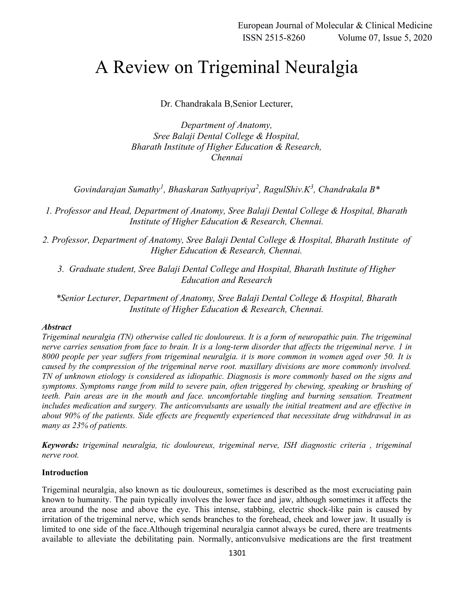# A Review on Trigeminal Neuralgia

Dr. Chandrakala B,Senior Lecturer,

*Department of Anatomy, Sree Balaji Dental College & Hospital, Bharath Institute of Higher Education & Research, Chennai*

*Govindarajan Sumathy<sup>1</sup> , Bhaskaran Sathyapriya<sup>2</sup> , RagulShiv.K<sup>3</sup> , Chandrakala B\**

*1. Professor and Head, Department of Anatomy, Sree Balaji Dental College & Hospital, Bharath Institute of Higher Education & Research, Chennai.*

*2. Professor, Department of Anatomy, Sree Balaji Dental College & Hospital, Bharath Institute of Higher Education & Research, Chennai.*

*3. Graduate student, Sree Balaji Dental College and Hospital, Bharath Institute of Higher Education and Research*

*\*Senior Lecturer, Department of Anatomy, Sree Balaji Dental College & Hospital, Bharath Institute of Higher Education & Research, Chennai.*

## *Abstract*

*Trigeminal neuralgia (TN) otherwise called tic douloureux. It is a form of neuropathic pain. The trigeminal nerve carries sensation from face to brain. It is a long-term disorder that affects the trigeminal nerve. 1 in 8000 people per year suffers from trigeminal neuralgia. it is more common in women aged over 50. It is caused by the compression of the trigeminal nerve root. maxillary divisions are more commonly involved. TN of unknown etiology is considered as idiopathic. Diagnosis is more commonly based on the signs and symptoms. Symptoms range from mild to severe pain, often triggered by chewing, speaking or brushing of teeth. Pain areas are in the mouth and face. uncomfortable tingling and burning sensation. Treatment includes medication and surgery. The anticonvulsants are usually the initial treatment and are effective in about 90% of the patients. Side effects are frequently experienced that necessitate drug withdrawal in as many as 23% of patients.*

*Keywords: trigeminal neuralgia, tic douloureux, trigeminal nerve, ISH diagnostic criteria , trigeminal nerve root.*

## **Introduction**

Trigeminal neuralgia, also known as tic douloureux, sometimes is described as the most excruciating pain known to humanity. The pain typically involves the lower face and jaw, although sometimes it affects the area around the nose and above the eye. This intense, stabbing, electric shock-like pain is caused by irritation of the trigeminal nerve, which sends branches to the forehead, cheek and lower jaw. It usually is limited to one side of the face.Although trigeminal neuralgia cannot always be cured, there are treatments available to alleviate the debilitating pain. Normally, anticonvulsive medications are the first treatment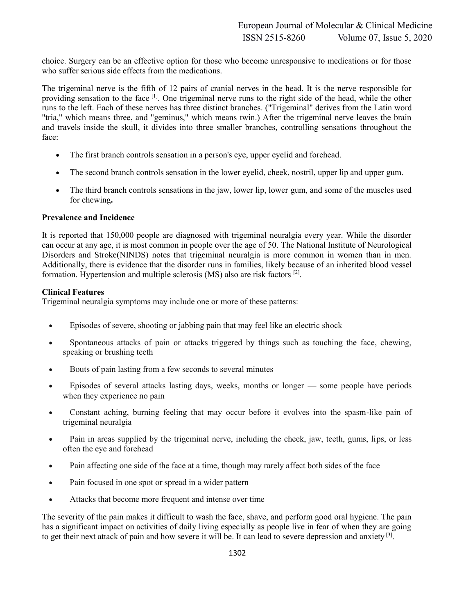choice. Surgery can be an effective option for those who become unresponsive to medications or for those who suffer serious side effects from the medications.

The trigeminal nerve is the fifth of 12 pairs of cranial nerves in the head. It is the nerve responsible for providing sensation to the face [1]. One trigeminal nerve runs to the right side of the head, while the other runs to the left. Each of these nerves has three distinct branches. ("Trigeminal" derives from the Latin word "tria," which means three, and "geminus," which means twin.) After the trigeminal nerve leaves the brain and travels inside the skull, it divides into three smaller branches, controlling sensations throughout the face:

- The first branch controls sensation in a person's eye, upper eyelid and forehead.
- The second branch controls sensation in the lower eyelid, cheek, nostril, upper lip and upper gum.
- The third branch controls sensations in the jaw, lower lip, lower gum, and some of the muscles used for chewing**.**

# **Prevalence and Incidence**

It is reported that 150,000 people are diagnosed with trigeminal neuralgia every year. While the disorder can occur at any age, it is most common in people over the age of 50. The National Institute of Neurological Disorders and Stroke(NINDS) notes that trigeminal neuralgia is more common in women than in men. Additionally, there is evidence that the disorder runs in families, likely because of an inherited blood vessel formation. Hypertension and multiple sclerosis (MS) also are risk factors [2].

# **Clinical Features**

Trigeminal neuralgia symptoms may include one or more of these patterns:

- Episodes of severe, shooting or jabbing pain that may feel like an electric shock
- Spontaneous attacks of pain or attacks triggered by things such as touching the face, chewing, speaking or brushing teeth
- Bouts of pain lasting from a few seconds to several minutes
- Episodes of several attacks lasting days, weeks, months or longer some people have periods when they experience no pain
- Constant aching, burning feeling that may occur before it evolves into the spasm-like pain of trigeminal neuralgia
- Pain in areas supplied by the trigeminal nerve, including the cheek, jaw, teeth, gums, lips, or less often the eye and forehead
- Pain affecting one side of the face at a time, though may rarely affect both sides of the face
- Pain focused in one spot or spread in a wider pattern
- Attacks that become more frequent and intense over time

The severity of the pain makes it difficult to wash the face, shave, and perform good oral hygiene. The pain has a significant impact on activities of daily living especially as people live in fear of when they are going to get their next attack of pain and how severe it will be. It can lead to severe depression and anxiety  $[3]$ .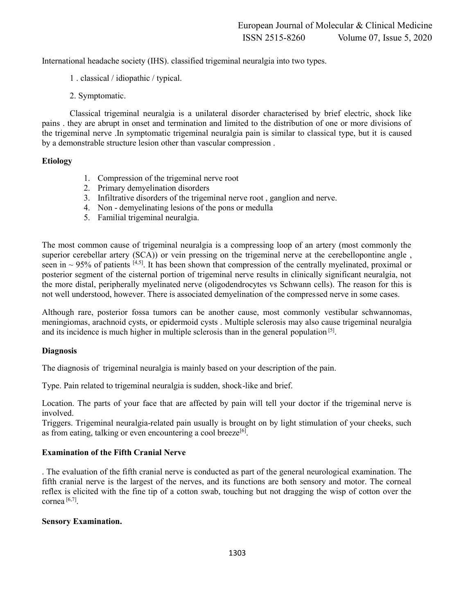International headache society (IHS). classified trigeminal neuralgia into two types.

- 1 . classical / idiopathic / typical.
- 2. Symptomatic.

Classical trigeminal neuralgia is a unilateral disorder characterised by brief electric, shock like pains . they are abrupt in onset and termination and limited to the distribution of one or more divisions of the trigeminal nerve .In symptomatic trigeminal neuralgia pain is similar to classical type, but it is caused by a demonstrable structure lesion other than vascular compression .

## **Etiology**

- 1. Compression of the trigeminal nerve root
- 2. Primary demyelination disorders
- 3. Infiltrative disorders of the trigeminal nerve root , ganglion and nerve.
- 4. Non demyelinating lesions of the pons or medulla
- 5. Familial trigeminal neuralgia.

The most common cause of trigeminal neuralgia is a compressing loop of an artery (most commonly the superior cerebellar artery (SCA)) or vein pressing on the trigeminal nerve at the cerebellopontine angle , seen in  $\sim$  95% of patients [4,5]. It has been shown that compression of the centrally myelinated, proximal or posterior segment of the cisternal portion of trigeminal nerve results in clinically significant neuralgia, not the more distal, peripherally myelinated nerve (oligodendrocytes vs Schwann cells). The reason for this is not well understood, however. There is associated demyelination of the compressed nerve in some cases.

Although rare, posterior fossa tumors can be another cause, most commonly vestibular schwannomas, meningiomas, arachnoid cysts, or epidermoid cysts . Multiple sclerosis may also cause trigeminal neuralgia and its incidence is much higher in multiple sclerosis than in the general population  $[5]$ .

## **Diagnosis**

The diagnosis of trigeminal neuralgia is mainly based on your description of the pain.

Type. Pain related to trigeminal neuralgia is sudden, shock-like and brief.

Location. The parts of your face that are affected by pain will tell your doctor if the trigeminal nerve is involved.

Triggers. Trigeminal neuralgia-related pain usually is brought on by light stimulation of your cheeks, such as from eating, talking or even encountering a cool breeze<sup>[6]</sup>.

## **Examination of the Fifth Cranial Nerve**

. The evaluation of the fifth cranial nerve is conducted as part of the general neurological examination. The fifth cranial nerve is the largest of the nerves, and its functions are both sensory and motor. The corneal reflex is elicited with the fine tip of a cotton swab, touching but not dragging the wisp of cotton over the cornea  $[6,7]$ 

## **Sensory Examination.**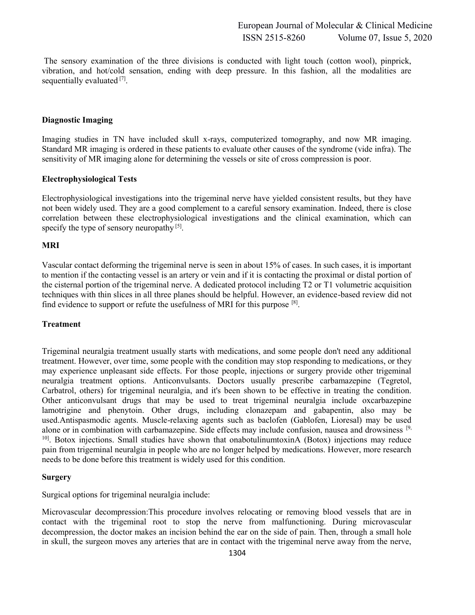The sensory examination of the three divisions is conducted with light touch (cotton wool), pinprick, vibration, and hot/cold sensation, ending with deep pressure. In this fashion, all the modalities are sequentially evaluated <sup>[7]</sup>.

## **Diagnostic Imaging**

Imaging studies in TN have included skull x-rays, computerized tomography, and now MR imaging. Standard MR imaging is ordered in these patients to evaluate other causes of the syndrome (vide infra). The sensitivity of MR imaging alone for determining the vessels or site of cross compression is poor.

#### **Electrophysiological Tests**

Electrophysiological investigations into the trigeminal nerve have yielded consistent results, but they have not been widely used. They are a good complement to a careful sensory examination. Indeed, there is close correlation between these electrophysiological investigations and the clinical examination, which can specify the type of sensory neuropathy  $[5]$ .

#### **MRI**

Vascular contact deforming the trigeminal nerve is seen in about 15% of cases. In such cases, it is important to mention if the contacting vessel is an artery or vein and if it is contacting the proximal or distal portion of the cisternal portion of the trigeminal nerve. A dedicated protocol including T2 or T1 volumetric acquisition techniques with thin slices in all three planes should be helpful. However, an evidence-based review did not find evidence to support or refute the usefulness of MRI for this purpose [8].

#### **Treatment**

Trigeminal neuralgia treatment usually starts with medications, and some people don't need any additional treatment. However, over time, some people with the condition may stop responding to medications, or they may experience unpleasant side effects. For those people, injections or surgery provide other trigeminal neuralgia treatment options. Anticonvulsants. Doctors usually prescribe carbamazepine (Tegretol, Carbatrol, others) for trigeminal neuralgia, and it's been shown to be effective in treating the condition. Other anticonvulsant drugs that may be used to treat trigeminal neuralgia include oxcarbazepine lamotrigine and phenytoin. Other drugs, including clonazepam and gabapentin, also may be used.Antispasmodic agents. Muscle-relaxing agents such as baclofen (Gablofen, Lioresal) may be used alone or in combination with carbamazepine. Side effects may include confusion, nausea and drowsiness [9, <sup>10]</sup>. Botox injections. Small studies have shown that onabotulinumtoxinA (Botox) injections may reduce pain from trigeminal neuralgia in people who are no longer helped by medications. However, more research needs to be done before this treatment is widely used for this condition.

#### **Surgery**

Surgical options for trigeminal neuralgia include:

Microvascular decompression:This procedure involves relocating or removing blood vessels that are in contact with the trigeminal root to stop the nerve from malfunctioning. During microvascular decompression, the doctor makes an incision behind the ear on the side of pain. Then, through a small hole in skull, the surgeon moves any arteries that are in contact with the trigeminal nerve away from the nerve,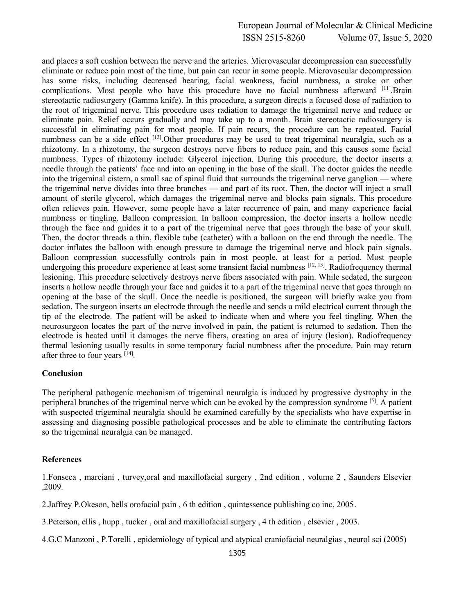and places a soft cushion between the nerve and the arteries. Microvascular decompression can successfully eliminate or reduce pain most of the time, but pain can recur in some people. Microvascular decompression has some risks, including decreased hearing, facial weakness, facial numbness, a stroke or other complications. Most people who have this procedure have no facial numbness afterward [11].Brain stereotactic radiosurgery (Gamma knife). In this procedure, a surgeon directs a focused dose of radiation to the root of trigeminal nerve. This procedure uses radiation to damage the trigeminal nerve and reduce or eliminate pain. Relief occurs gradually and may take up to a month. Brain stereotactic radiosurgery is successful in eliminating pain for most people. If pain recurs, the procedure can be repeated. Facial numbness can be a side effect  $[12]$ . Other procedures may be used to treat trigeminal neuralgia, such as a rhizotomy. In a rhizotomy, the surgeon destroys nerve fibers to reduce pain, and this causes some facial numbness. Types of rhizotomy include: Glycerol injection. During this procedure, the doctor inserts a needle through the patients' face and into an opening in the base of the skull. The doctor guides the needle into the trigeminal cistern, a small sac of spinal fluid that surrounds the trigeminal nerve ganglion — where the trigeminal nerve divides into three branches — and part of its root. Then, the doctor will inject a small amount of sterile glycerol, which damages the trigeminal nerve and blocks pain signals. This procedure often relieves pain. However, some people have a later recurrence of pain, and many experience facial numbness or tingling. Balloon compression. In balloon compression, the doctor inserts a hollow needle through the face and guides it to a part of the trigeminal nerve that goes through the base of your skull. Then, the doctor threads a thin, flexible tube (catheter) with a balloon on the end through the needle. The doctor inflates the balloon with enough pressure to damage the trigeminal nerve and block pain signals. Balloon compression successfully controls pain in most people, at least for a period. Most people undergoing this procedure experience at least some transient facial numbness [12, 13]. Radiofrequency thermal lesioning. This procedure selectively destroys nerve fibers associated with pain. While sedated, the surgeon inserts a hollow needle through your face and guides it to a part of the trigeminal nerve that goes through an opening at the base of the skull. Once the needle is positioned, the surgeon will briefly wake you from sedation. The surgeon inserts an electrode through the needle and sends a mild electrical current through the tip of the electrode. The patient will be asked to indicate when and where you feel tingling. When the neurosurgeon locates the part of the nerve involved in pain, the patient is returned to sedation. Then the electrode is heated until it damages the nerve fibers, creating an area of injury (lesion). Radiofrequency thermal lesioning usually results in some temporary facial numbness after the procedure. Pain may return after three to four years [14].

## **Conclusion**

The peripheral pathogenic mechanism of trigeminal neuralgia is induced by progressive dystrophy in the peripheral branches of the trigeminal nerve which can be evoked by the compression syndrome [5]. A patient with suspected trigeminal neuralgia should be examined carefully by the specialists who have expertise in assessing and diagnosing possible pathological processes and be able to eliminate the contributing factors so the trigeminal neuralgia can be managed.

## **References**

1.Fonseca , marciani , turvey,oral and maxillofacial surgery , 2nd edition , volume 2 , Saunders Elsevier ,2009.

2.Jaffrey P.Okeson, bells orofacial pain , 6 th edition , quintessence publishing co inc, 2005.

3.Peterson, ellis , hupp , tucker , oral and maxillofacial surgery , 4 th edition , elsevier , 2003.

4.G.C Manzoni , P.Torelli , epidemiology of typical and atypical craniofacial neuralgias , neurol sci (2005)